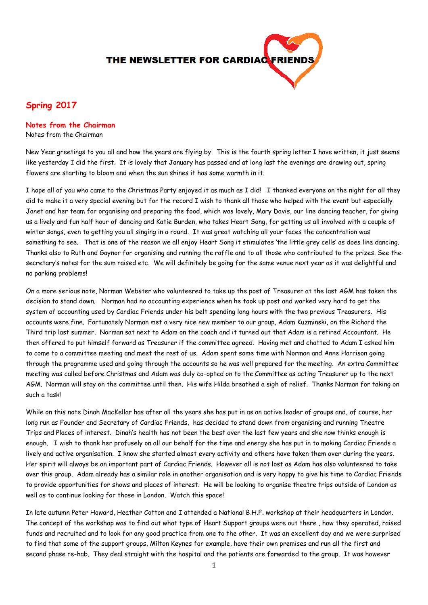

# **Spring 2017**

## **Notes from the Chairman**

Notes from the Chairman

New Year greetings to you all and how the years are flying by. This is the fourth spring letter I have written, it just seems like yesterday I did the first. It is lovely that January has passed and at long last the evenings are drawing out, spring flowers are starting to bloom and when the sun shines it has some warmth in it.

I hope all of you who came to the Christmas Party enjoyed it as much as I did! I thanked everyone on the night for all they did to make it a very special evening but for the record I wish to thank all those who helped with the event but especially Janet and her team for organising and preparing the food, which was lovely, Mary Davis, our line dancing teacher, for giving us a lively and fun half hour of dancing and Katie Burden, who takes Heart Song, for getting us all involved with a couple of winter songs, even to getting you all singing in a round. It was great watching all your faces the concentration was something to see. That is one of the reason we all enjoy Heart Song it stimulates 'the little grey cells' as does line dancing. Thanks also to Ruth and Gaynor for organising and running the raffle and to all those who contributed to the prizes. See the secretary's notes for the sum raised etc. We will definitely be going for the same venue next year as it was delightful and no parking problems!

On a more serious note, Norman Webster who volunteered to take up the post of Treasurer at the last AGM has taken the decision to stand down. Norman had no accounting experience when he took up post and worked very hard to get the system of accounting used by Cardiac Friends under his belt spending long hours with the two previous Treasurers. His accounts were fine. Fortunately Norman met a very nice new member to our group, Adam Kuzminski, on the Richard the Third trip last summer. Norman sat next to Adam on the coach and it turned out that Adam is a retired Accountant. He then offered to put himself forward as Treasurer if the committee agreed. Having met and chatted to Adam I asked him to come to a committee meeting and meet the rest of us. Adam spent some time with Norman and Anne Harrison going through the programme used and going through the accounts so he was well prepared for the meeting. An extra Committee meeting was called before Christmas and Adam was duly co-opted on to the Committee as acting Treasurer up to the next AGM. Norman will stay on the committee until then. His wife Hilda breathed a sigh of relief. Thanks Norman for taking on such a task!

While on this note Dinah MacKellar has after all the years she has put in as an active leader of groups and, of course, her long run as Founder and Secretary of Cardiac Friends, has decided to stand down from organising and running Theatre Trips and Places of interest. Dinah's health has not been the best over the last few years and she now thinks enough is enough. I wish to thank her profusely on all our behalf for the time and energy she has put in to making Cardiac Friends a lively and active organisation. I know she started almost every activity and others have taken them over during the years. Her spirit will always be an important part of Cardiac Friends. However all is not lost as Adam has also volunteered to take over this group. Adam already has a similar role in another organisation and is very happy to give his time to Cardiac Friends to provide opportunities for shows and places of interest. He will be looking to organise theatre trips outside of London as well as to continue looking for those in London. Watch this space!

In late autumn Peter Howard, Heather Cotton and I attended a National B.H.F. workshop at their headquarters in London. The concept of the workshop was to find out what type of Heart Support groups were out there , how they operated, raised funds and recruited and to look for any good practice from one to the other. It was an excellent day and we were surprised to find that some of the support groups, Milton Keynes for example, have their own premises and run all the first and second phase re-hab. They deal straight with the hospital and the patients are forwarded to the group. It was however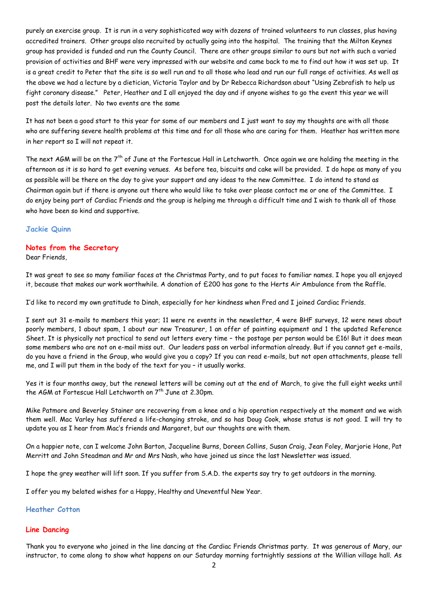purely an exercise group. It is run in a very sophisticated way with dozens of trained volunteers to run classes, plus having accredited trainers. Other groups also recruited by actually going into the hospital. The training that the Milton Keynes group has provided is funded and run the County Council. There are other groups similar to ours but not with such a varied provision of activities and BHF were very impressed with our website and came back to me to find out how it was set up. It is a great credit to Peter that the site is so well run and to all those who lead and run our full range of activities. As well as the above we had a lecture by a dietician, Victoria Taylor and by Dr Rebecca Richardson about "Using Zebrafish to help us fight coronary disease." Peter, Heather and I all enjoyed the day and if anyone wishes to go the event this year we will post the details later. No two events are the same

It has not been a good start to this year for some of our members and I just want to say my thoughts are with all those who are suffering severe health problems at this time and for all those who are caring for them. Heather has written more in her report so I will not repeat it.

The next AGM will be on the  $7<sup>th</sup>$  of June at the Fortescue Hall in Letchworth. Once again we are holding the meeting in the afternoon as it is so hard to get evening venues. As before tea, biscuits and cake will be provided. I do hope as many of you as possible will be there on the day to give your support and any ideas to the new Committee. I do intend to stand as Chairman again but if there is anyone out there who would like to take over please contact me or one of the Committee. I do enjoy being part of Cardiac Friends and the group is helping me through a difficult time and I wish to thank all of those who have been so kind and supportive.

## **Jackie Quinn**

## **Notes from the Secretary**

Dear Friends,

It was great to see so many familiar faces at the Christmas Party, and to put faces to familiar names. I hope you all enjoyed it, because that makes our work worthwhile. A donation of £200 has gone to the Herts Air Ambulance from the Raffle.

I'd like to record my own gratitude to Dinah, especially for her kindness when Fred and I joined Cardiac Friends.

I sent out 31 e-mails to members this year; 11 were re events in the newsletter, 4 were BHF surveys, 12 were news about poorly members, 1 about spam, 1 about our new Treasurer, 1 an offer of painting equipment and 1 the updated Reference Sheet. It is physically not practical to send out letters every time – the postage per person would be £16! But it does mean some members who are not on e-mail miss out. Our leaders pass on verbal information already. But if you cannot get e-mails, do you have a friend in the Group, who would give you a copy? If you can read e-mails, but not open attachments, please tell me, and I will put them in the body of the text for you – it usually works.

Yes it is four months away, but the renewal letters will be coming out at the end of March, to give the full eight weeks until the AGM at Fortescue Hall Letchworth on 7<sup>th</sup> June at 2.30pm.

Mike Patmore and Beverley Stainer are recovering from a knee and a hip operation respectively at the moment and we wish them well. Mac Varley has suffered a life-changing stroke, and so has Doug Cook, whose status is not good. I will try to update you as I hear from Mac's friends and Margaret, but our thoughts are with them.

On a happier note, can I welcome John Barton, Jacqueline Burns, Doreen Collins, Susan Craig, Jean Foley, Marjorie Hone, Pat Merritt and John Steadman and Mr and Mrs Nash, who have joined us since the last Newsletter was issued.

I hope the grey weather will lift soon. If you suffer from S.A.D. the experts say try to get outdoors in the morning.

I offer you my belated wishes for a Happy, Healthy and Uneventful New Year.

### **Heather Cotton**

## **Line Dancing**

Thank you to everyone who joined in the line dancing at the Cardiac Friends Christmas party. It was generous of Mary, our instructor, to come along to show what happens on our Saturday morning fortnightly sessions at the Willian village hall. As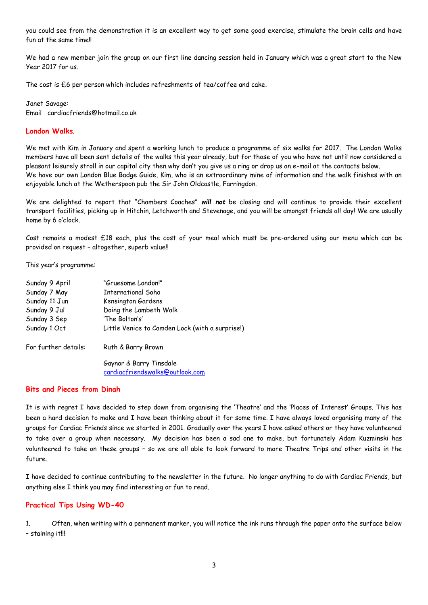you could see from the demonstration it is an excellent way to get some good exercise, stimulate the brain cells and have fun at the same time!!

We had a new member join the group on our first line dancing session held in January which was a great start to the New Year 2017 for us.

The cost is £6 per person which includes refreshments of tea/coffee and cake.

Janet Savage: Email cardiacfriends@hotmail.co.uk

### **London Walks**.

We met with Kim in January and spent a working lunch to produce a programme of six walks for 2017. The London Walks members have all been sent details of the walks this year already, but for those of you who have not until now considered a pleasant leisurely stroll in our capital city then why don't you give us a ring or drop us an e-mail at the contacts below. We have our own London Blue Badge Guide, Kim, who is an extraordinary mine of information and the walk finishes with an enjoyable lunch at the Wetherspoon pub the Sir John Oldcastle, Farringdon.

We are delighted to report that "Chambers Coaches" *will not* be closing and will continue to provide their excellent transport facilities, picking up in Hitchin, Letchworth and Stevenage, and you will be amongst friends all day! We are usually home by 6 o'clock.

Cost remains a modest £18 each, plus the cost of your meal which must be pre-ordered using our menu which can be provided on request – altogether, superb value!!

This year's programme:

| Sunday 9 April       | "Gruesome London!"                              |
|----------------------|-------------------------------------------------|
| Sunday 7 May         | International Soho                              |
| Sunday 11 Jun        | Kensington Gardens                              |
| Sunday 9 Jul         | Doing the Lambeth Walk                          |
| Sunday 3 Sep         | 'The Bolton's'                                  |
| Sunday 1 Oct         | Little Venice to Camden Lock (with a surprise!) |
| For further details: | Ruth & Barry Brown                              |
|                      | Gaynor & Barry Tinsdale                         |
|                      | cardiacfriendswalks@outlook.com                 |

### **Bits and Pieces from Dinah**

It is with regret I have decided to step down from organising the 'Theatre' and the 'Places of Interest' Groups. This has been a hard decision to make and I have been thinking about it for some time. I have always loved organising many of the groups for Cardiac Friends since we started in 2001. Gradually over the years I have asked others or they have volunteered to take over a group when necessary. My decision has been a sad one to make, but fortunately Adam Kuzminski has volunteered to take on these groups – so we are all able to look forward to more Theatre Trips and other visits in the future.

I have decided to continue contributing to the newsletter in the future. No longer anything to do with Cardiac Friends, but anything else I think you may find interesting or fun to read.

## **Practical Tips Using WD-40**

1. Often, when writing with a permanent marker, you will notice the ink runs through the paper onto the surface below – staining it!!!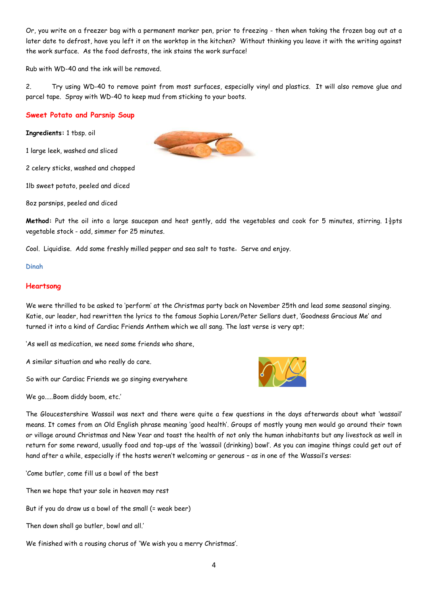Or, you write on a freezer bag with a permanent marker pen, prior to freezing - then when taking the frozen bag out at a later date to defrost, have you left it on the worktop in the kitchen? Without thinking you leave it with the writing against the work surface. As the food defrosts, the ink stains the work surface!

Rub with WD-40 and the ink will be removed.

2. Try using WD-40 to remove paint from most surfaces, especially vinyl and plastics. It will also remove glue and parcel tape. Spray with WD-40 to keep mud from sticking to your boots.

## **Sweet Potato and Parsnip Soup**

**Ingredients:** 1 tbsp. oil

1 large leek, washed and sliced

2 celery sticks, washed and chopped

1lb sweet potato, peeled and diced

8oz parsnips, peeled and diced

**Method:** Put the oil into a large saucepan and heat gently, add the vegetables and cook for 5 minutes, stirring. 1½pts vegetable stock - add, simmer for 25 minutes.

Cool. Liquidise. Add some freshly milled pepper and sea salt to taste. Serve and enjoy.

### **Dinah**

## **Heartsong**

We were thrilled to be asked to 'perform' at the Christmas party back on November 25th and lead some seasonal singing. Katie, our leader, had rewritten the lyrics to the famous Sophia Loren/Peter Sellars duet, 'Goodness Gracious Me' and turned it into a kind of Cardiac Friends Anthem which we all sang. The last verse is very apt;

'As well as medication, we need some friends who share,

A similar situation and who really do care.

So with our Cardiac Friends we go singing everywhere



We go.....Boom diddy boom, etc.'

The Gloucestershire Wassail was next and there were quite a few questions in the days afterwards about what 'wassail' means. It comes from an Old English phrase meaning 'good health'. Groups of mostly young men would go around their town or village around Christmas and New Year and toast the health of not only the human inhabitants but any livestock as well in return for some reward, usually food and top-ups of the 'wassail (drinking) bowl'. As you can imagine things could get out of hand after a while, especially if the hosts weren't welcoming or generous – as in one of the Wassail's verses:

'Come butler, come fill us a bowl of the best

Then we hope that your sole in heaven may rest

But if you do draw us a bowl of the small (= weak beer)

Then down shall go butler, bowl and all.'

We finished with a rousing chorus of 'We wish you a merry Christmas'.

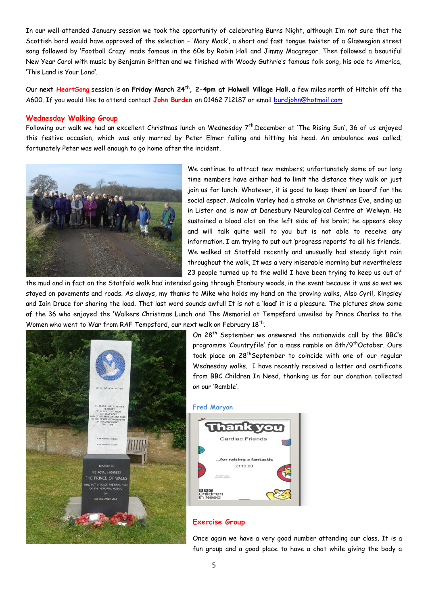In our well-attended January session we took the opportunity of celebrating Burns Night, although I'm not sure that the Scottish bard would have approved of the selection – 'Mary Mack', a short and fast tongue twister of a Glaswegian street song followed by 'Football Crazy' made famous in the 60s by Robin Hall and Jimmy Macgregor. Then followed a beautiful New Year Carol with music by Benjamin Britten and we finished with Woody Guthrie's famous folk song, his ode to America, 'This Land is Your Land'.

Our **next HeartSong** session is **on Friday March 24th, 2-4pm at Holwell Village Hall**, a few miles north of Hitchin off the A600. If you would like to attend contact **John Burden** on 01462 712187 or email [burdjohn@hotmail.com](mailto:burdjohn@hotmail.com)

## **Wednesday Walking Group**

Following our walk we had an excellent Christmas lunch on Wednesday 7<sup>th</sup>.December at 'The Rising Sun', 36 of us enjoyed this festive occasion, which was only marred by Peter Elmer falling and hitting his head. An ambulance was called; fortunately Peter was well enough to go home after the incident.



We continue to attract new members; unfortunately some of our long time members have either had to limit the distance they walk or just join us for lunch. Whatever, it is good to keep them' on board' for the social aspect. Malcolm Varley had a stroke on Christmas Eve, ending up in Lister and is now at Danesbury Neurological Centre at Welwyn. He sustained a blood clot on the left side of his brain; he appears okay and will talk quite well to you but is not able to receive any information. I am trying to put out 'progress reports' to all his friends. We walked at Stotfold recently and unusually had steady light rain throughout the walk, It was a very miserable morning but nevertheless 23 people turned up to the walk! I have been trying to keep us out of

the mud and in fact on the Stotfold walk had intended going through Etonbury woods, in the event because it was so wet we stayed on pavements and roads. As always, my thanks to Mike who holds my hand on the proving walks, Also Cyril, Kingsley and Iain Druce for sharing the load. That last word sounds awful! It is not a '**load'** it is a pleasure. The pictures show some of the 36 who enjoyed the 'Walkers Christmas Lunch and The Memorial at Tempsford unveiled by Prince Charles to the Women who went to War from RAF Tempsford, our next walk on February 18<sup>th</sup>.



On 28<sup>th</sup> September we answered the nationwide call by the BBC's programme 'Countryfile' for a mass ramble on 8th/9<sup>th</sup>October. Ours took place on 28<sup>th</sup>September to coincide with one of our regular Wednesday walks. I have recently received a letter and certificate from BBC Children In Need, thanking us for our donation collected on our 'Ramble'.

#### **Fred Maryon**



### **Exercise Group**

Once again we have a very good number attending our class. It is a fun group and a good place to have a chat while giving the body a